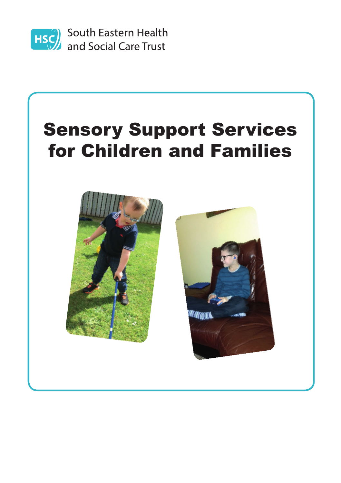

**HSC** South Eastern Health<br>and Social Care Trust

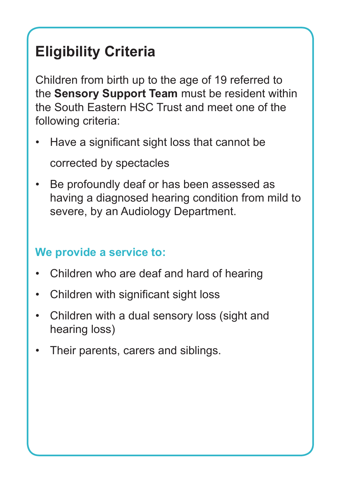# **Eligibility Criteria**

Children from birth up to the age of 19 referred to the **Sensory Support Team** must be resident within the South Eastern HSC Trust and meet one of the following criteria:

- Have a significant sight loss that cannot be corrected by spectacles
- Be profoundly deaf or has been assessed as having a diagnosed hearing condition from mild to severe, by an Audiology Department.

## **We provide a service to:**

- Children who are deaf and hard of hearing
- Children with significant sight loss
- Children with a dual sensory loss (sight and hearing loss)
- Their parents, carers and siblings.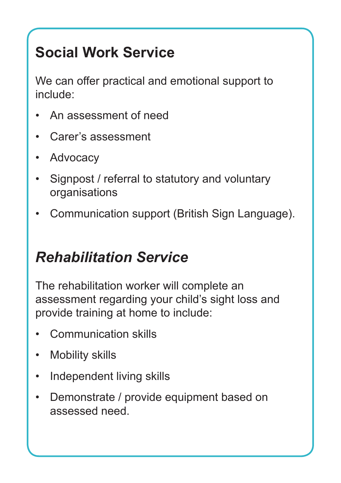# **Social Work Service**

We can offer practical and emotional support to include:

- An assessment of need
- Carer's assessment
- Advocacy
- Signpost / referral to statutory and voluntary organisations
- Communication support (British Sign Language).

# *Rehabilitation Service*

The rehabilitation worker will complete an assessment regarding your child's sight loss and provide training at home to include:

- Communication skills
- **Mobility skills**
- Independent living skills
- Demonstrate / provide equipment based on assessed need.